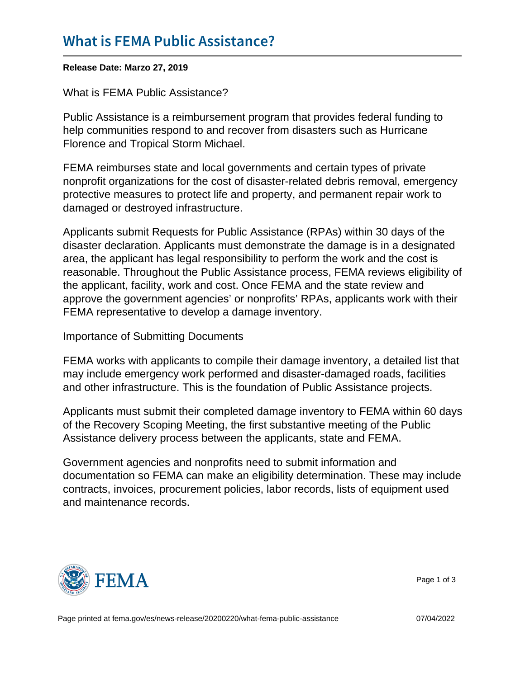## [What is FEMA Publi](https://www.fema.gov/press-release/20210318/what-fema-public-assistance)c Assistance?

Release Date: Marzo 27, 2019

What is FEMA Public Assistance?

Public Assistance is a reimbursement program that provides federal funding to help communities respond to and recover from disasters such as Hurricane Florence and Tropical Storm Michael.

FEMA reimburses state and local governments and certain types of private nonprofit organizations for the cost of disaster-related debris removal, emergency protective measures to protect life and property, and permanent repair work to damaged or destroyed infrastructure.

Applicants submit Requests for Public Assistance (RPAs) within 30 days of the disaster declaration. Applicants must demonstrate the damage is in a designated area, the applicant has legal responsibility to perform the work and the cost is reasonable. Throughout the Public Assistance process, FEMA reviews eligibility of the applicant, facility, work and cost. Once FEMA and the state review and approve the government agencies' or nonprofits' RPAs, applicants work with their FEMA representative to develop a damage inventory.

Importance of Submitting Documents

FEMA works with applicants to compile their damage inventory, a detailed list that may include emergency work performed and disaster-damaged roads, facilities and other infrastructure. This is the foundation of Public Assistance projects.

Applicants must submit their completed damage inventory to FEMA within 60 days of the Recovery Scoping Meeting, the first substantive meeting of the Public Assistance delivery process between the applicants, state and FEMA.

Government agencies and nonprofits need to submit information and documentation so FEMA can make an eligibility determination. These may include contracts, invoices, procurement policies, labor records, lists of equipment used and maintenance records.



Page 1 of 3

Page printed at [fema.gov/es/news-release/20200220/what-fema-public-assistance](https://www.fema.gov/es/news-release/20200220/what-fema-public-assistance) 07/04/2022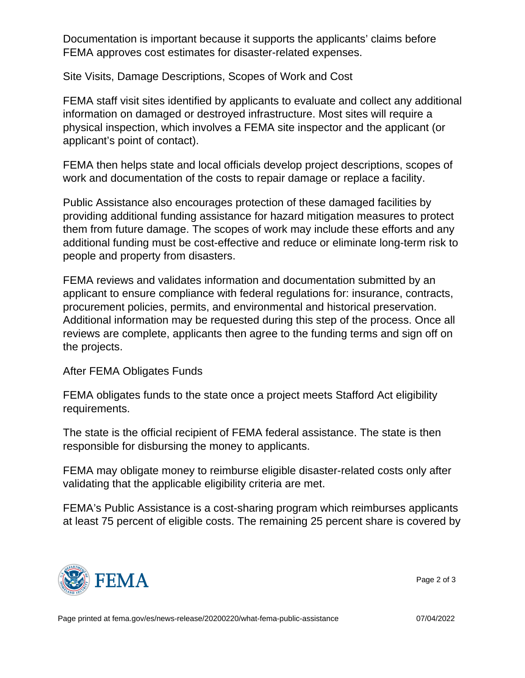Documentation is important because it supports the applicants' claims before FEMA approves cost estimates for disaster-related expenses.

Site Visits, Damage Descriptions, Scopes of Work and Cost

FEMA staff visit sites identified by applicants to evaluate and collect any additional information on damaged or destroyed infrastructure. Most sites will require a physical inspection, which involves a FEMA site inspector and the applicant (or applicant's point of contact).

FEMA then helps state and local officials develop project descriptions, scopes of work and documentation of the costs to repair damage or replace a facility.

Public Assistance also encourages protection of these damaged facilities by providing additional funding assistance for hazard mitigation measures to protect them from future damage. The scopes of work may include these efforts and any additional funding must be cost-effective and reduce or eliminate long-term risk to people and property from disasters.

FEMA reviews and validates information and documentation submitted by an applicant to ensure compliance with federal regulations for: insurance, contracts, procurement policies, permits, and environmental and historical preservation. Additional information may be requested during this step of the process. Once all reviews are complete, applicants then agree to the funding terms and sign off on the projects.

## After FEMA Obligates Funds

FEMA obligates funds to the state once a project meets Stafford Act eligibility requirements.

The state is the official recipient of FEMA federal assistance. The state is then responsible for disbursing the money to applicants.

FEMA may obligate money to reimburse eligible disaster-related costs only after validating that the applicable eligibility criteria are met.

FEMA's Public Assistance is a cost-sharing program which reimburses applicants at least 75 percent of eligible costs. The remaining 25 percent share is covered by



Page 2 of 3